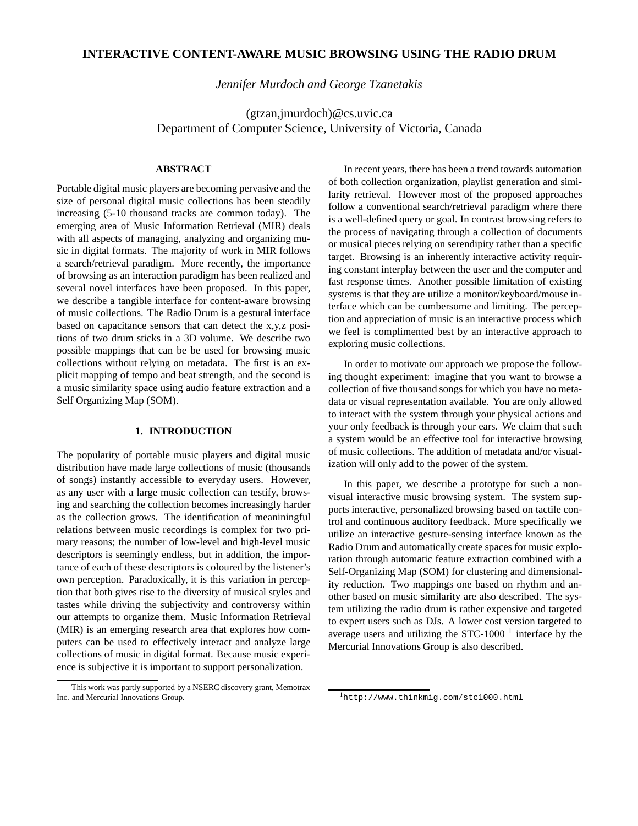# **INTERACTIVE CONTENT-AWARE MUSIC BROWSING USING THE RADIO DRUM**

*Jennifer Murdoch and George Tzanetakis*

(gtzan,jmurdoch)@cs.uvic.ca Department of Computer Science, University of Victoria, Canada

# **ABSTRACT**

Portable digital music players are becoming pervasive and the size of personal digital music collections has been steadily increasing (5-10 thousand tracks are common today). The emerging area of Music Information Retrieval (MIR) deals with all aspects of managing, analyzing and organizing music in digital formats. The majority of work in MIR follows a search/retrieval paradigm. More recently, the importance of browsing as an interaction paradigm has been realized and several novel interfaces have been proposed. In this paper, we describe a tangible interface for content-aware browsing of music collections. The Radio Drum is a gestural interface based on capacitance sensors that can detect the x,y,z positions of two drum sticks in a 3D volume. We describe two possible mappings that can be be used for browsing music collections without relying on metadata. The first is an explicit mapping of tempo and beat strength, and the second is a music similarity space using audio feature extraction and a Self Organizing Map (SOM).

# **1. INTRODUCTION**

The popularity of portable music players and digital music distribution have made large collections of music (thousands of songs) instantly accessible to everyday users. However, as any user with a large music collection can testify, browsing and searching the collection becomes increasingly harder as the collection grows. The identification of meaniningful relations between music recordings is complex for two primary reasons; the number of low-level and high-level music descriptors is seemingly endless, but in addition, the importance of each of these descriptors is coloured by the listener's own perception. Paradoxically, it is this variation in perception that both gives rise to the diversity of musical styles and tastes while driving the subjectivity and controversy within our attempts to organize them. Music Information Retrieval (MIR) is an emerging research area that explores how computers can be used to effectively interact and analyze large collections of music in digital format. Because music experience is subjective it is important to support personalization.

In recent years, there has been a trend towards automation of both collection organization, playlist generation and similarity retrieval. However most of the proposed approaches follow a conventional search/retrieval paradigm where there is a well-defined query or goal. In contrast browsing refers to the process of navigating through a collection of documents or musical pieces relying on serendipity rather than a specific target. Browsing is an inherently interactive activity requiring constant interplay between the user and the computer and fast response times. Another possible limitation of existing systems is that they are utilize a monitor/keyboard/mouse interface which can be cumbersome and limiting. The perception and appreciation of music is an interactive process which we feel is complimented best by an interactive approach to exploring music collections.

In order to motivate our approach we propose the following thought experiment: imagine that you want to browse a collection of five thousand songs for which you have no metadata or visual representation available. You are only allowed to interact with the system through your physical actions and your only feedback is through your ears. We claim that such a system would be an effective tool for interactive browsing of music collections. The addition of metadata and/or visualization will only add to the power of the system.

In this paper, we describe a prototype for such a nonvisual interactive music browsing system. The system supports interactive, personalized browsing based on tactile control and continuous auditory feedback. More specifically we utilize an interactive gesture-sensing interface known as the Radio Drum and automatically create spaces for music exploration through automatic feature extraction combined with a Self-Organizing Map (SOM) for clustering and dimensionality reduction. Two mappings one based on rhythm and another based on music similarity are also described. The system utilizing the radio drum is rather expensive and targeted to expert users such as DJs. A lower cost version targeted to average users and utilizing the STC-1000 $<sup>1</sup>$  interface by the</sup> Mercurial Innovations Group is also described.

This work was partly supported by a NSERC discovery grant, Memotrax Inc. and Mercurial Innovations Group.

<sup>1</sup>http://www.thinkmig.com/stc1000.html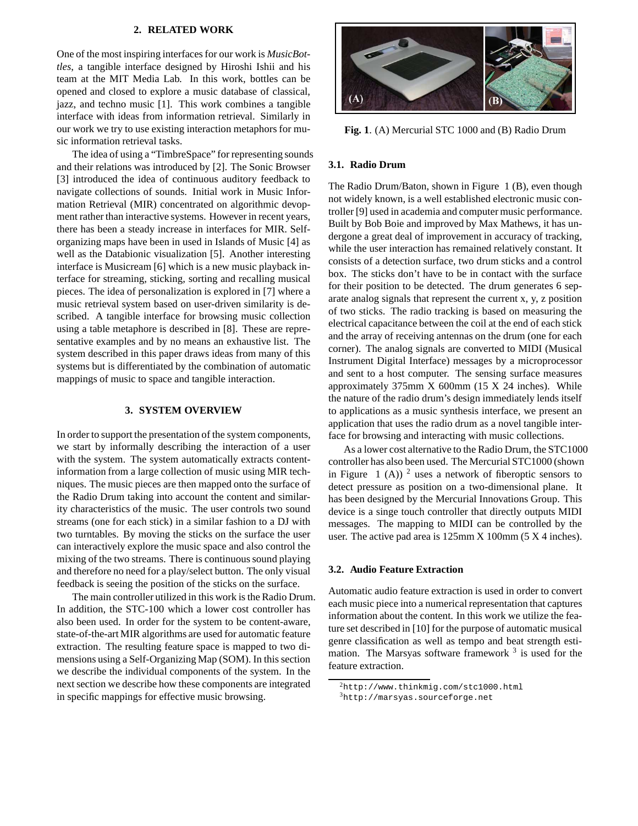#### **2. RELATED WORK**

One of the most inspiring interfacesfor our work is *MusicBottles*, a tangible interface designed by Hiroshi Ishii and his team at the MIT Media Lab. In this work, bottles can be opened and closed to explore a music database of classical, jazz, and techno music [1]. This work combines a tangible interface with ideas from information retrieval. Similarly in our work we try to use existing interaction metaphors for music information retrieval tasks.

The idea of using a "TimbreSpace" for representing sounds and their relations was introduced by [2]. The Sonic Browser [3] introduced the idea of continuous auditory feedback to navigate collections of sounds. Initial work in Music Information Retrieval (MIR) concentrated on algorithmic devopment rather than interactive systems. However in recent years, there has been a steady increase in interfaces for MIR. Selforganizing maps have been in used in Islands of Music [4] as well as the Databionic visualization [5]. Another interesting interface is Musicream [6] which is a new music playback interface for streaming, sticking, sorting and recalling musical pieces. The idea of personalization is explored in [7] where a music retrieval system based on user-driven similarity is described. A tangible interface for browsing music collection using a table metaphore is described in [8]. These are representative examples and by no means an exhaustive list. The system described in this paper draws ideas from many of this systems but is differentiated by the combination of automatic mappings of music to space and tangible interaction.

### **3. SYSTEM OVERVIEW**

In order to support the presentation of the system components, we start by informally describing the interaction of a user with the system. The system automatically extracts contentinformation from a large collection of music using MIR techniques. The music pieces are then mapped onto the surface of the Radio Drum taking into account the content and similarity characteristics of the music. The user controls two sound streams (one for each stick) in a similar fashion to a DJ with two turntables. By moving the sticks on the surface the user can interactively explore the music space and also control the mixing of the two streams. There is continuous sound playing and therefore no need for a play/select button. The only visual feedback is seeing the position of the sticks on the surface.

The main controller utilized in this work is the Radio Drum. In addition, the STC-100 which a lower cost controller has also been used. In order for the system to be content-aware, state-of-the-art MIR algorithms are used for automatic feature extraction. The resulting feature space is mapped to two dimensions using a Self-Organizing Map (SOM). In this section we describe the individual components of the system. In the next section we describe how these components are integrated in specific mappings for effective music browsing.



**Fig. 1**. (A) Mercurial STC 1000 and (B) Radio Drum

## **3.1. Radio Drum**

The Radio Drum/Baton, shown in Figure 1 (B), even though not widely known, is a well established electronic music controller [9] used in academia and computer music performance. Built by Bob Boie and improved by Max Mathews, it has undergone a great deal of improvement in accuracy of tracking, while the user interaction has remained relatively constant. It consists of a detection surface, two drum sticks and a control box. The sticks don't have to be in contact with the surface for their position to be detected. The drum generates 6 separate analog signals that represent the current x, y, z position of two sticks. The radio tracking is based on measuring the electrical capacitance between the coil at the end of each stick and the array of receiving antennas on the drum (one for each corner). The analog signals are converted to MIDI (Musical Instrument Digital Interface) messages by a microprocessor and sent to a host computer. The sensing surface measures approximately 375mm X 600mm (15 X 24 inches). While the nature of the radio drum's design immediately lends itself to applications as a music synthesis interface, we present an application that uses the radio drum as a novel tangible interface for browsing and interacting with music collections.

As a lower cost alternative to the Radio Drum, the STC1000 controller has also been used. The Mercurial STC1000 (shown in Figure 1 (A)) <sup>2</sup> uses a network of fiberoptic sensors to detect pressure as position on a two-dimensional plane. It has been designed by the Mercurial Innovations Group. This device is a singe touch controller that directly outputs MIDI messages. The mapping to MIDI can be controlled by the user. The active pad area is 125mm X 100mm (5 X 4 inches).

#### **3.2. Audio Feature Extraction**

Automatic audio feature extraction is used in order to convert each music piece into a numerical representation that captures information about the content. In this work we utilize the feature set described in [10] for the purpose of automatic musical genre classification as well as tempo and beat strength estimation. The Marsyas software framework  $3$  is used for the feature extraction.

<sup>2</sup>http://www.thinkmig.com/stc1000.html <sup>3</sup>http://marsyas.sourceforge.net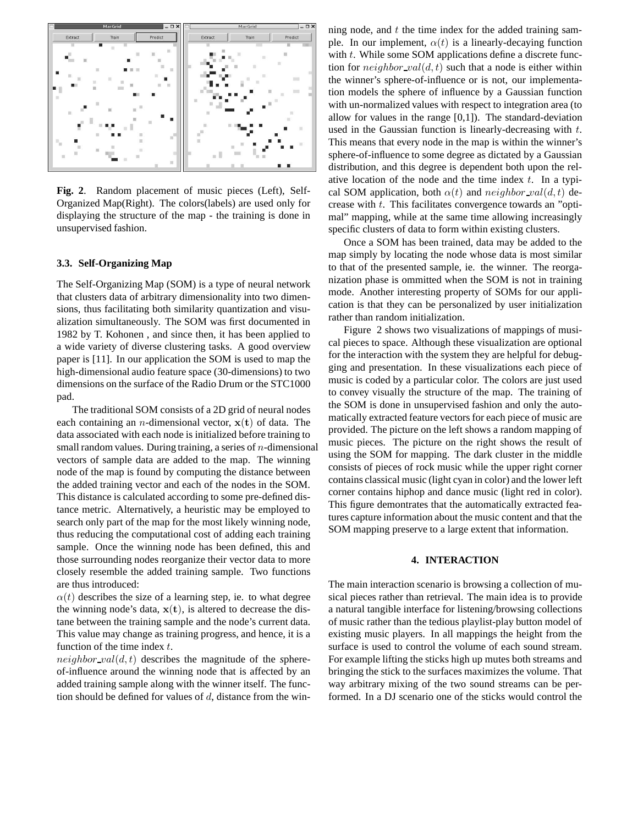

**Fig. 2**. Random placement of music pieces (Left), Self-Organized Map(Right). The colors(labels) are used only for displaying the structure of the map - the training is done in unsupervised fashion.

#### **3.3. Self-Organizing Map**

The Self-Organizing Map (SOM) is a type of neural network that clusters data of arbitrary dimensionality into two dimensions, thus facilitating both similarity quantization and visualization simultaneously. The SOM was first documented in 1982 by T. Kohonen , and since then, it has been applied to a wide variety of diverse clustering tasks. A good overview paper is [11]. In our application the SOM is used to map the high-dimensional audio feature space (30-dimensions) to two dimensions on the surface of the Radio Drum or the STC1000 pad.

The traditional SOM consists of a 2D grid of neural nodes each containing an *n*-dimensional vector,  $x(t)$  of data. The data associated with each node is initialized before training to small random values. During training, a series of  $n$ -dimensional vectors of sample data are added to the map. The *w*inning node of the map is found by computing the distance between the added training vector and each of the nodes in the SOM. This distance is calculated according to some pre-defined distance metric. Alternatively, a heuristic may be employed to search only part of the map for the most likely winning node, thus reducing the computational cost of adding each training sample. Once the winning node has been defined, this and those surrounding nodes reorganize their vector data to more closely resemble the added training sample. Two functions are thus introduced:

 $\alpha(t)$  describes the size of a learning step, ie. to what degree the winning node's data,  $x(t)$ , is altered to decrease the distane between the training sample and the node's current data. This value may change as training progress, and hence, it is a function of the time index  $t$ .

 $neighbor\_val(d, t)$  describes the magnitude of the *sphere*of-influence around the winning node that is affected by an added training sample along with the winner itself. The function should be defined for values of  $d$ , distance from the winning node, and  $t$  the time index for the added training sample. In our implement,  $\alpha(t)$  is a linearly-decaying function with  $t$ . While some SOM applications define a discrete function for  $neighbor\_val(d, t)$  such that a node is either within the winner's sphere-of-influence or is not, our implementation models the sphere of influence by a Gaussian function with un-normalized values with respect to integration area (to allow for values in the range  $[0,1]$ ). The standard-deviation used in the Gaussian function is linearly-decreasing with t. This means that every node in the map is within the winner's sphere-of-influence to some degree as dictated by a Gaussian distribution, and this degree is dependent both upon the relative location of the node and the time index  $t$ . In a typical SOM application, both  $\alpha(t)$  and neighbor val(d, t) decrease with  $t$ . This facilitates convergence towards an "optimal" mapping, while at the same time allowing increasingly specific clusters of data to form within existing clusters.

Once a SOM has been trained, data may be added to the map simply by locating the node whose data is most similar to that of the presented sample, ie. the winner. The reorganization phase is ommitted when the SOM is not in training mode. Another interesting property of SOMs for our application is that they can be personalized by user initialization rather than random initialization.

Figure 2 shows two visualizations of mappings of musical pieces to space. Although these visualization are optional for the interaction with the system they are helpful for debugging and presentation. In these visualizations each piece of music is coded by a particular color. The colors are just used to convey visually the structure of the map. The training of the SOM is done in unsupervised fashion and only the automatically extracted feature vectors for each piece of music are provided. The picture on the left shows a random mapping of music pieces. The picture on the right shows the result of using the SOM for mapping. The dark cluster in the middle consists of pieces of rock music while the upper right corner contains classical music (light cyan in color) and the lower left corner contains hiphop and dance music (light red in color). This figure demontrates that the automatically extracted features capture information about the music content and that the SOM mapping preserve to a large extent that information.

#### **4. INTERACTION**

The main interaction scenario is browsing a collection of musical pieces rather than retrieval. The main idea is to provide a natural tangible interface for listening/browsing collections of music rather than the tedious playlist-play button model of existing music players. In all mappings the height from the surface is used to control the volume of each sound stream. For example lifting the sticks high up mutes both streams and bringing the stick to the surfaces maximizes the volume. That way arbitrary mixing of the two sound streams can be performed. In a DJ scenario one of the sticks would control the